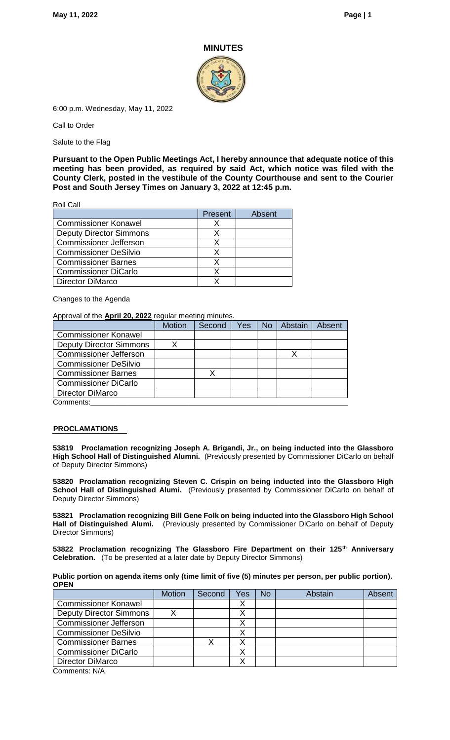#### **MINUTES**



6:00 p.m. Wednesday, May 11, 2022

Call to Order

Salute to the Flag

**Pursuant to the Open Public Meetings Act, I hereby announce that adequate notice of this meeting has been provided, as required by said Act, which notice was filed with the County Clerk, posted in the vestibule of the County Courthouse and sent to the Courier Post and South Jersey Times on January 3, 2022 at 12:45 p.m.**

Roll Call

|                                | Present | Absent |
|--------------------------------|---------|--------|
| <b>Commissioner Konawel</b>    |         |        |
| <b>Deputy Director Simmons</b> |         |        |
| <b>Commissioner Jefferson</b>  |         |        |
| <b>Commissioner DeSilvio</b>   |         |        |
| <b>Commissioner Barnes</b>     |         |        |
| <b>Commissioner DiCarlo</b>    |         |        |
| <b>Director DiMarco</b>        |         |        |

Changes to the Agenda

#### Approval of the **April 20, 2022** regular meeting minutes.

|                                | <b>Motion</b> | Second | Yes | <b>No</b> | Abstain | Absent |
|--------------------------------|---------------|--------|-----|-----------|---------|--------|
| <b>Commissioner Konawel</b>    |               |        |     |           |         |        |
| <b>Deputy Director Simmons</b> |               |        |     |           |         |        |
| <b>Commissioner Jefferson</b>  |               |        |     |           |         |        |
| <b>Commissioner DeSilvio</b>   |               |        |     |           |         |        |
| <b>Commissioner Barnes</b>     |               |        |     |           |         |        |
| <b>Commissioner DiCarlo</b>    |               |        |     |           |         |        |
| <b>Director DiMarco</b>        |               |        |     |           |         |        |
| Comments:                      |               |        |     |           |         |        |

#### **PROCLAMATIONS**

**53819 Proclamation recognizing Joseph A. Brigandi, Jr., on being inducted into the Glassboro High School Hall of Distinguished Alumni.** (Previously presented by Commissioner DiCarlo on behalf of Deputy Director Simmons)

**53820 Proclamation recognizing Steven C. Crispin on being inducted into the Glassboro High School Hall of Distinguished Alumi.** (Previously presented by Commissioner DiCarlo on behalf of Deputy Director Simmons)

**53821 Proclamation recognizing Bill Gene Folk on being inducted into the Glassboro High School Hall of Distinguished Alumi.** (Previously presented by Commissioner DiCarlo on behalf of Deputy Director Simmons)

**53822 Proclamation recognizing The Glassboro Fire Department on their 125th Anniversary Celebration.** (To be presented at a later date by Deputy Director Simmons)

| Public portion on agenda items only (time limit of five (5) minutes per person, per public portion). |  |
|------------------------------------------------------------------------------------------------------|--|
| OPEN                                                                                                 |  |

|                                | <b>Motion</b> | Second | Yes | No | Abstain | Absent |
|--------------------------------|---------------|--------|-----|----|---------|--------|
| <b>Commissioner Konawel</b>    |               |        |     |    |         |        |
| <b>Deputy Director Simmons</b> |               |        |     |    |         |        |
| <b>Commissioner Jefferson</b>  |               |        |     |    |         |        |
| <b>Commissioner DeSilvio</b>   |               |        |     |    |         |        |
| <b>Commissioner Barnes</b>     |               |        |     |    |         |        |
| <b>Commissioner DiCarlo</b>    |               |        |     |    |         |        |
| Director DiMarco               |               |        |     |    |         |        |
| $\bigcap$ 11/4                 |               |        |     |    |         |        |

Comments: N/A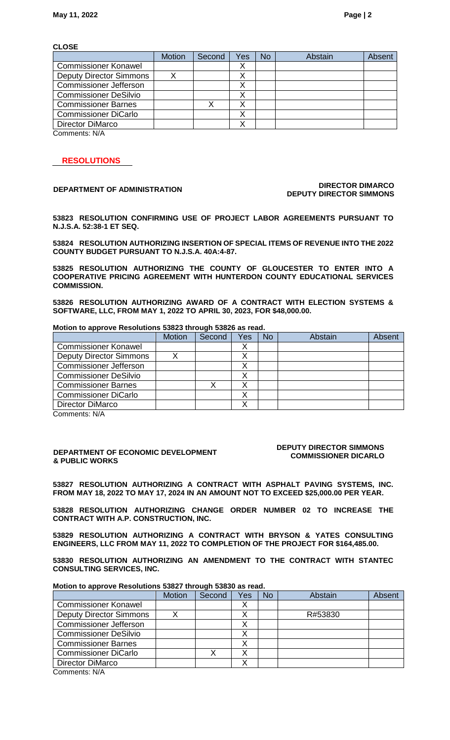**CLOSE**

|                                | <b>Motion</b> | Second | Yes | No | Abstain | Absent |
|--------------------------------|---------------|--------|-----|----|---------|--------|
| <b>Commissioner Konawel</b>    |               |        |     |    |         |        |
| <b>Deputy Director Simmons</b> |               |        |     |    |         |        |
| <b>Commissioner Jefferson</b>  |               |        |     |    |         |        |
| <b>Commissioner DeSilvio</b>   |               |        |     |    |         |        |
| <b>Commissioner Barnes</b>     |               |        |     |    |         |        |
| <b>Commissioner DiCarlo</b>    |               |        |     |    |         |        |
| Director DiMarco               |               |        |     |    |         |        |
| $\bigcap$ 11/4                 |               |        |     |    |         |        |

Comments: N/A

### **RESOLUTIONS**

#### **DEPARTMENT OF ADMINISTRATION DIRECTOR DIMARCO DEPUTY DIRECTOR SIMMONS**

**53823 RESOLUTION CONFIRMING USE OF PROJECT LABOR AGREEMENTS PURSUANT TO N.J.S.A. 52:38-1 ET SEQ.**

**53824 RESOLUTION AUTHORIZING INSERTION OF SPECIAL ITEMS OF REVENUE INTO THE 2022 COUNTY BUDGET PURSUANT TO N.J.S.A. 40A:4-87.**

**53825 RESOLUTION AUTHORIZING THE COUNTY OF GLOUCESTER TO ENTER INTO A COOPERATIVE PRICING AGREEMENT WITH HUNTERDON COUNTY EDUCATIONAL SERVICES COMMISSION.**

**53826 RESOLUTION AUTHORIZING AWARD OF A CONTRACT WITH ELECTION SYSTEMS & SOFTWARE, LLC, FROM MAY 1, 2022 TO APRIL 30, 2023, FOR \$48,000.00.**

#### **Motion to approve Resolutions 53823 through 53826 as read.**

| <b>Motion</b> | Second | Yes | <b>No</b> | <b>Abstain</b> | Absent |
|---------------|--------|-----|-----------|----------------|--------|
|               |        |     |           |                |        |
|               |        |     |           |                |        |
|               |        |     |           |                |        |
|               |        |     |           |                |        |
|               |        |     |           |                |        |
|               |        |     |           |                |        |
|               |        |     |           |                |        |
|               |        |     |           |                |        |

Comments: N/A

#### **DEPARTMENT OF ECONOMIC DEVELOPMENT & PUBLIC WORKS**

#### **DEPUTY DIRECTOR SIMMONS COMMISSIONER DICARLO**

**53827 RESOLUTION AUTHORIZING A CONTRACT WITH ASPHALT PAVING SYSTEMS, INC. FROM MAY 18, 2022 TO MAY 17, 2024 IN AN AMOUNT NOT TO EXCEED \$25,000.00 PER YEAR.**

**53828 RESOLUTION AUTHORIZING CHANGE ORDER NUMBER 02 TO INCREASE THE CONTRACT WITH A.P. CONSTRUCTION, INC.**

**53829 RESOLUTION AUTHORIZING A CONTRACT WITH BRYSON & YATES CONSULTING ENGINEERS, LLC FROM MAY 11, 2022 TO COMPLETION OF THE PROJECT FOR \$164,485.00.**

**53830 RESOLUTION AUTHORIZING AN AMENDMENT TO THE CONTRACT WITH STANTEC CONSULTING SERVICES, INC.**

#### **Motion to approve Resolutions 53827 through 53830 as read.**

|                                | <b>Motion</b> | Second | Yes | <b>No</b> | Abstain | Absent |
|--------------------------------|---------------|--------|-----|-----------|---------|--------|
| <b>Commissioner Konawel</b>    |               |        |     |           |         |        |
| <b>Deputy Director Simmons</b> |               |        |     |           | R#53830 |        |
| <b>Commissioner Jefferson</b>  |               |        |     |           |         |        |
| <b>Commissioner DeSilvio</b>   |               |        |     |           |         |        |
| <b>Commissioner Barnes</b>     |               |        |     |           |         |        |
| <b>Commissioner DiCarlo</b>    |               |        |     |           |         |        |
| Director DiMarco               |               |        |     |           |         |        |
| O <sub>6</sub>                 |               |        |     |           |         |        |

Comments: N/A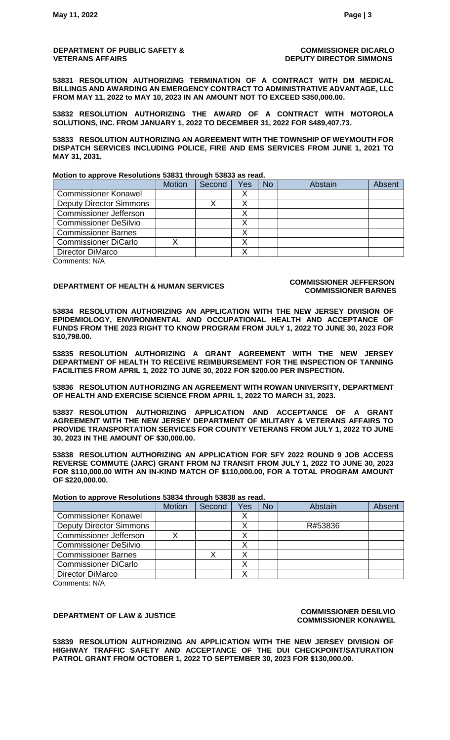#### **DEPARTMENT OF PUBLIC SAFETY & VETERANS AFFAIRS**

**COMMISSIONER DICARLO DEPUTY DIRECTOR SIMMONS**

**53831 RESOLUTION AUTHORIZING TERMINATION OF A CONTRACT WITH DM MEDICAL BILLINGS AND AWARDING AN EMERGENCY CONTRACT TO ADMINISTRATIVE ADVANTAGE, LLC FROM MAY 11, 2022 to MAY 10, 2023 IN AN AMOUNT NOT TO EXCEED \$350,000.00.** 

**53832 RESOLUTION AUTHORIZING THE AWARD OF A CONTRACT WITH MOTOROLA SOLUTIONS, INC. FROM JANUARY 1, 2022 TO DECEMBER 31, 2022 FOR \$489,407.73.**

**53833 RESOLUTION AUTHORIZING AN AGREEMENT WITH THE TOWNSHIP OF WEYMOUTH FOR DISPATCH SERVICES INCLUDING POLICE, FIRE AND EMS SERVICES FROM JUNE 1, 2021 TO MAY 31, 2031.** 

**Motion to approve Resolutions 53831 through 53833 as read.**

|                                | <b>Motion</b> | Second | Yes | <b>No</b> | Abstain | Absent |
|--------------------------------|---------------|--------|-----|-----------|---------|--------|
| <b>Commissioner Konawel</b>    |               |        |     |           |         |        |
| <b>Deputy Director Simmons</b> |               |        |     |           |         |        |
| <b>Commissioner Jefferson</b>  |               |        |     |           |         |        |
| <b>Commissioner DeSilvio</b>   |               |        |     |           |         |        |
| <b>Commissioner Barnes</b>     |               |        |     |           |         |        |
| <b>Commissioner DiCarlo</b>    |               |        |     |           |         |        |
| Director DiMarco               |               |        |     |           |         |        |

Comments: N/A

## **DEPARTMENT OF HEALTH & HUMAN SERVICES COMMISSIONER JEFFERSON**

# **COMMISSIONER BARNES**

**53834 RESOLUTION AUTHORIZING AN APPLICATION WITH THE NEW JERSEY DIVISION OF EPIDEMIOLOGY, ENVIRONMENTAL AND OCCUPATIONAL HEALTH AND ACCEPTANCE OF FUNDS FROM THE 2023 RIGHT TO KNOW PROGRAM FROM JULY 1, 2022 TO JUNE 30, 2023 FOR \$10,798.00.**

**53835 RESOLUTION AUTHORIZING A GRANT AGREEMENT WITH THE NEW JERSEY DEPARTMENT OF HEALTH TO RECEIVE REIMBURSEMENT FOR THE INSPECTION OF TANNING FACILITIES FROM APRIL 1, 2022 TO JUNE 30, 2022 FOR \$200.00 PER INSPECTION.**

**53836 RESOLUTION AUTHORIZING AN AGREEMENT WITH ROWAN UNIVERSITY, DEPARTMENT OF HEALTH AND EXERCISE SCIENCE FROM APRIL 1, 2022 TO MARCH 31, 2023.**

**53837 RESOLUTION AUTHORIZING APPLICATION AND ACCEPTANCE OF A GRANT AGREEMENT WITH THE NEW JERSEY DEPARTMENT OF MILITARY & VETERANS AFFAIRS TO PROVIDE TRANSPORTATION SERVICES FOR COUNTY VETERANS FROM JULY 1, 2022 TO JUNE 30, 2023 IN THE AMOUNT OF \$30,000.00.**

**53838 RESOLUTION AUTHORIZING AN APPLICATION FOR SFY 2022 ROUND 9 JOB ACCESS REVERSE COMMUTE (JARC) GRANT FROM NJ TRANSIT FROM JULY 1, 2022 TO JUNE 30, 2023 FOR \$110,000.00 WITH AN IN-KIND MATCH OF \$110,000.00, FOR A TOTAL PROGRAM AMOUNT OF \$220,000.00.**

**Motion to approve Resolutions 53834 through 53838 as read.**

|                                | <b>Motion</b> | Second | Yes | No | Abstain | Absent |
|--------------------------------|---------------|--------|-----|----|---------|--------|
| <b>Commissioner Konawel</b>    |               |        |     |    |         |        |
| <b>Deputy Director Simmons</b> |               |        |     |    | R#53836 |        |
| <b>Commissioner Jefferson</b>  |               |        |     |    |         |        |
| <b>Commissioner DeSilvio</b>   |               |        |     |    |         |        |
| <b>Commissioner Barnes</b>     |               |        |     |    |         |        |
| <b>Commissioner DiCarlo</b>    |               |        |     |    |         |        |
| <b>Director DiMarco</b>        |               |        |     |    |         |        |

Comments: N/A

#### **DEPARTMENT OF LAW & JUSTICE COMMISSIONER DESILVIO COMMISSIONER KONAWEL**

**53839 RESOLUTION AUTHORIZING AN APPLICATION WITH THE NEW JERSEY DIVISION OF HIGHWAY TRAFFIC SAFETY AND ACCEPTANCE OF THE DUI CHECKPOINT/SATURATION PATROL GRANT FROM OCTOBER 1, 2022 TO SEPTEMBER 30, 2023 FOR \$130,000.00.**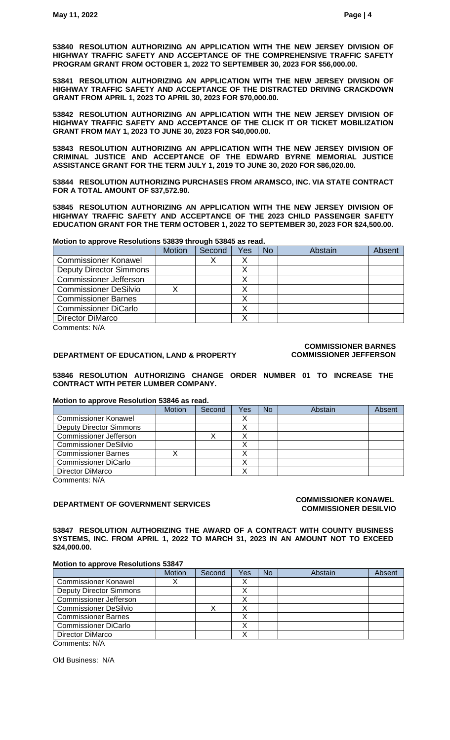**53840 RESOLUTION AUTHORIZING AN APPLICATION WITH THE NEW JERSEY DIVISION OF HIGHWAY TRAFFIC SAFETY AND ACCEPTANCE OF THE COMPREHENSIVE TRAFFIC SAFETY PROGRAM GRANT FROM OCTOBER 1, 2022 TO SEPTEMBER 30, 2023 FOR \$56,000.00.**

**53841 RESOLUTION AUTHORIZING AN APPLICATION WITH THE NEW JERSEY DIVISION OF HIGHWAY TRAFFIC SAFETY AND ACCEPTANCE OF THE DISTRACTED DRIVING CRACKDOWN GRANT FROM APRIL 1, 2023 TO APRIL 30, 2023 FOR \$70,000.00.**

**53842 RESOLUTION AUTHORIZING AN APPLICATION WITH THE NEW JERSEY DIVISION OF HIGHWAY TRAFFIC SAFETY AND ACCEPTANCE OF THE CLICK IT OR TICKET MOBILIZATION GRANT FROM MAY 1, 2023 TO JUNE 30, 2023 FOR \$40,000.00.**

**53843 RESOLUTION AUTHORIZING AN APPLICATION WITH THE NEW JERSEY DIVISION OF CRIMINAL JUSTICE AND ACCEPTANCE OF THE EDWARD BYRNE MEMORIAL JUSTICE ASSISTANCE GRANT FOR THE TERM JULY 1, 2019 TO JUNE 30, 2020 FOR \$86,020.00.**

**53844 RESOLUTION AUTHORIZING PURCHASES FROM ARAMSCO, INC. VIA STATE CONTRACT FOR A TOTAL AMOUNT OF \$37,572.90.**

**53845 RESOLUTION AUTHORIZING AN APPLICATION WITH THE NEW JERSEY DIVISION OF HIGHWAY TRAFFIC SAFETY AND ACCEPTANCE OF THE 2023 CHILD PASSENGER SAFETY EDUCATION GRANT FOR THE TERM OCTOBER 1, 2022 TO SEPTEMBER 30, 2023 FOR \$24,500.00.**

#### **Motion to approve Resolutions 53839 through 53845 as read.**

|                                | <b>Motion</b> | Second | Yes | <b>No</b> | Abstain | Absent |
|--------------------------------|---------------|--------|-----|-----------|---------|--------|
| <b>Commissioner Konawel</b>    |               |        |     |           |         |        |
| <b>Deputy Director Simmons</b> |               |        |     |           |         |        |
| <b>Commissioner Jefferson</b>  |               |        |     |           |         |        |
| <b>Commissioner DeSilvio</b>   |               |        |     |           |         |        |
| <b>Commissioner Barnes</b>     |               |        |     |           |         |        |
| <b>Commissioner DiCarlo</b>    |               |        |     |           |         |        |
| Director DiMarco               |               |        |     |           |         |        |
|                                |               |        |     |           |         |        |

Comments: N/A

#### **DEPARTMENT OF EDUCATION, LAND & PROPERTY**

#### **COMMISSIONER BARNES COMMISSIONER JEFFERSON**

#### **53846 RESOLUTION AUTHORIZING CHANGE ORDER NUMBER 01 TO INCREASE THE CONTRACT WITH PETER LUMBER COMPANY.**

#### **Motion to approve Resolution 53846 as read.**

|                                | <b>Motion</b> | Second | Yes | <b>No</b> | Abstain | Absent |
|--------------------------------|---------------|--------|-----|-----------|---------|--------|
| <b>Commissioner Konawel</b>    |               |        |     |           |         |        |
| <b>Deputy Director Simmons</b> |               |        |     |           |         |        |
| <b>Commissioner Jefferson</b>  |               |        |     |           |         |        |
| <b>Commissioner DeSilvio</b>   |               |        |     |           |         |        |
| <b>Commissioner Barnes</b>     |               |        |     |           |         |        |
| <b>Commissioner DiCarlo</b>    |               |        |     |           |         |        |
| Director DiMarco               |               |        |     |           |         |        |
| $\bigcap$ 11/4                 |               |        |     |           |         |        |

Comments: N/A

## **DEPARTMENT OF GOVERNMENT SERVICES COMMISSIONER KONAWEL**

# **COMMISSIONER DESILVIO**

**53847 RESOLUTION AUTHORIZING THE AWARD OF A CONTRACT WITH COUNTY BUSINESS SYSTEMS, INC. FROM APRIL 1, 2022 TO MARCH 31, 2023 IN AN AMOUNT NOT TO EXCEED \$24,000.00.**

#### **Motion to approve Resolutions 53847**

|                                                | <b>Motion</b> | Second | Yes       | <b>No</b> | Abstain | Absent |
|------------------------------------------------|---------------|--------|-----------|-----------|---------|--------|
| <b>Commissioner Konawel</b>                    | х             |        | $\lambda$ |           |         |        |
| <b>Deputy Director Simmons</b>                 |               |        |           |           |         |        |
| <b>Commissioner Jefferson</b>                  |               |        |           |           |         |        |
| <b>Commissioner DeSilvio</b>                   |               |        |           |           |         |        |
| <b>Commissioner Barnes</b>                     |               |        |           |           |         |        |
| <b>Commissioner DiCarlo</b>                    |               |        |           |           |         |        |
| Director DiMarco                               |               |        |           |           |         |        |
| $O_{\text{max}}$ and $\text{max}$ $\text{min}$ |               |        |           |           |         |        |

Comments: N/A

Old Business: N/A